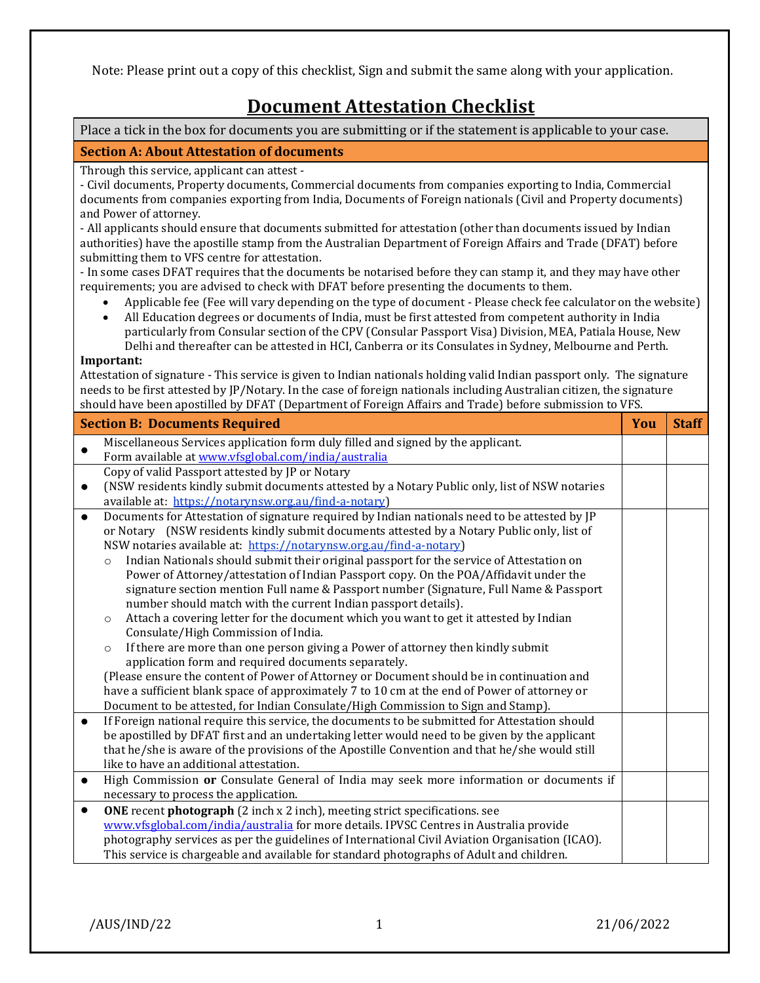Note: Please print out a copy of this checklist, Sign and submit the same along with your application.

# **Document Attestation Checklist**

Place a tick in the box for documents you are submitting or if the statement is applicable to your case.

## **Section A: About Attestation of documents**

Through this service, applicant can attest -

- Civil documents, Property documents, Commercial documents from companies exporting to India, Commercial documents from companies exporting from India, Documents of Foreign nationals (Civil and Property documents) and Power of attorney.

- All applicants should ensure that documents submitted for attestation (other than documents issued by Indian authorities) have the apostille stamp from the Australian Department of Foreign Affairs and Trade (DFAT) before submitting them to VFS centre for attestation.

- In some cases DFAT requires that the documents be notarised before they can stamp it, and they may have other requirements; you are advised to check with DFAT before presenting the documents to them.

- Applicable fee (Fee will vary depending on the type of document Please check fee calculator on the website)
- All Education degrees or documents of India, must be first attested from competent authority in India particularly from Consular section of the CPV (Consular Passport Visa) Division, MEA, Patiala House, New Delhi and thereafter can be attested in HCI, Canberra or its Consulates in Sydney, Melbourne and Perth.

#### **Important:**

Attestation of signature - This service is given to Indian nationals holding valid Indian passport only. The signature needs to be first attested by JP/Notary. In the case of foreign nationals including Australian citizen, the signature should have been apostilled by DFAT (Department of Foreign Affairs and Trade) before submission to VFS.

| <b>Section B: Documents Required</b> |                                                                                                     |  | <b>Staff</b> |
|--------------------------------------|-----------------------------------------------------------------------------------------------------|--|--------------|
|                                      | Miscellaneous Services application form duly filled and signed by the applicant.                    |  |              |
|                                      | Form available at www.vfsglobal.com/india/australia                                                 |  |              |
|                                      | Copy of valid Passport attested by JP or Notary                                                     |  |              |
|                                      | (NSW residents kindly submit documents attested by a Notary Public only, list of NSW notaries       |  |              |
|                                      | available at: https://notarynsw.org.au/find-a-notary)                                               |  |              |
| $\bullet$                            | Documents for Attestation of signature required by Indian nationals need to be attested by JP       |  |              |
|                                      | or Notary (NSW residents kindly submit documents attested by a Notary Public only, list of          |  |              |
|                                      | NSW notaries available at: https://notarynsw.org.au/find-a-notary)                                  |  |              |
|                                      | Indian Nationals should submit their original passport for the service of Attestation on<br>$\circ$ |  |              |
|                                      | Power of Attorney/attestation of Indian Passport copy. On the POA/Affidavit under the               |  |              |
|                                      | signature section mention Full name & Passport number (Signature, Full Name & Passport              |  |              |
|                                      | number should match with the current Indian passport details).                                      |  |              |
|                                      | Attach a covering letter for the document which you want to get it attested by Indian<br>$\circ$    |  |              |
|                                      | Consulate/High Commission of India.                                                                 |  |              |
|                                      | If there are more than one person giving a Power of attorney then kindly submit<br>$\circ$          |  |              |
|                                      | application form and required documents separately.                                                 |  |              |
|                                      | (Please ensure the content of Power of Attorney or Document should be in continuation and           |  |              |
|                                      | have a sufficient blank space of approximately 7 to 10 cm at the end of Power of attorney or        |  |              |
|                                      | Document to be attested, for Indian Consulate/High Commission to Sign and Stamp).                   |  |              |
| $\bullet$                            | If Foreign national require this service, the documents to be submitted for Attestation should      |  |              |
|                                      | be apostilled by DFAT first and an undertaking letter would need to be given by the applicant       |  |              |
|                                      | that he/she is aware of the provisions of the Apostille Convention and that he/she would still      |  |              |
|                                      | like to have an additional attestation.                                                             |  |              |
| $\bullet$                            | High Commission or Consulate General of India may seek more information or documents if             |  |              |
|                                      | necessary to process the application.                                                               |  |              |
| $\bullet$                            | ONE recent photograph (2 inch x 2 inch), meeting strict specifications. see                         |  |              |
|                                      | www.vfsglobal.com/india/australia for more details. IPVSC Centres in Australia provide              |  |              |
|                                      | photography services as per the guidelines of International Civil Aviation Organisation (ICAO).     |  |              |
|                                      | This service is chargeable and available for standard photographs of Adult and children.            |  |              |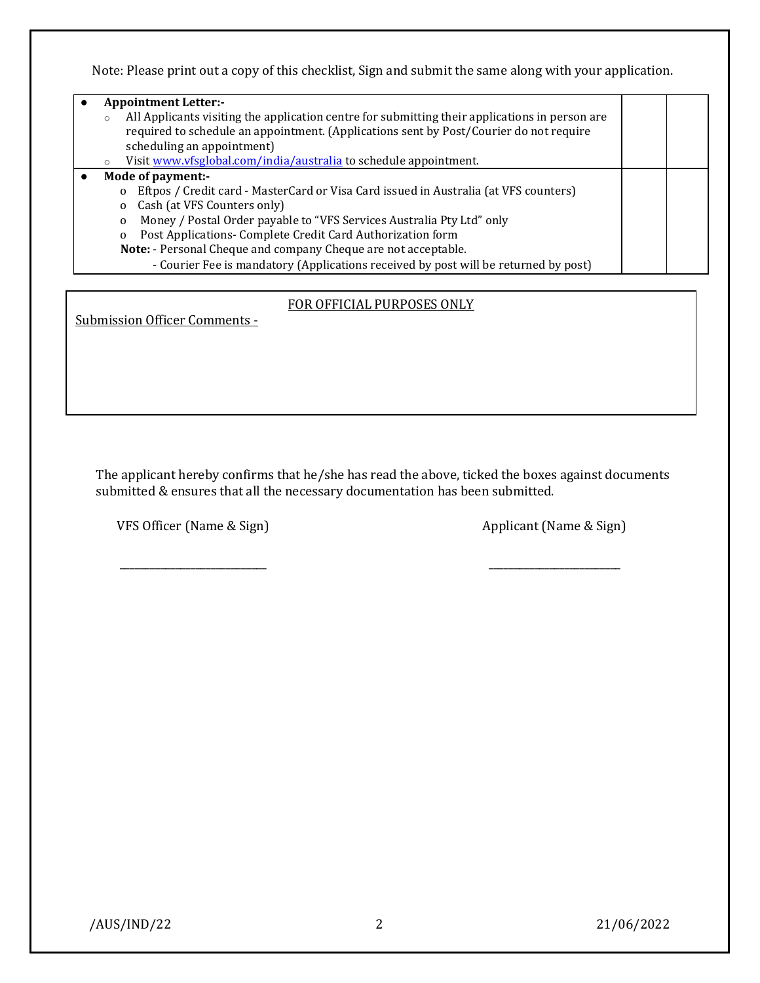Note: Please print out a copy of this checklist, Sign and submit the same along with your application.

| <b>Appointment Letter:-</b><br>All Applicants visiting the application centre for submitting their applications in person are<br>required to schedule an appointment. (Applications sent by Post/Courier do not require<br>scheduling an appointment)<br>Visit www.vfsglobal.com/india/australia to schedule appointment. |  |  |
|---------------------------------------------------------------------------------------------------------------------------------------------------------------------------------------------------------------------------------------------------------------------------------------------------------------------------|--|--|
| Mode of payment:-                                                                                                                                                                                                                                                                                                         |  |  |
| Eftpos / Credit card - MasterCard or Visa Card issued in Australia (at VFS counters)<br>$\mathbf 0$                                                                                                                                                                                                                       |  |  |
| Cash (at VFS Counters only)<br>0                                                                                                                                                                                                                                                                                          |  |  |
| Money / Postal Order payable to "VFS Services Australia Pty Ltd" only<br>$\mathbf 0$                                                                                                                                                                                                                                      |  |  |
| Post Applications- Complete Credit Card Authorization form<br>$\mathbf 0$                                                                                                                                                                                                                                                 |  |  |
| Note: - Personal Cheque and company Cheque are not acceptable.                                                                                                                                                                                                                                                            |  |  |
| - Courier Fee is mandatory (Applications received by post will be returned by post)                                                                                                                                                                                                                                       |  |  |

### FOR OFFICIAL PURPOSES ONLY

Submission Officer Comments -

The applicant hereby confirms that he/she has read the above, ticked the boxes against documents submitted & ensures that all the necessary documentation has been submitted.

\_\_\_\_\_\_\_\_\_\_\_\_\_\_\_\_\_\_\_\_\_\_\_\_\_\_\_\_\_ \_\_\_\_\_\_\_\_\_\_\_\_\_\_\_\_\_\_\_\_\_\_\_\_\_\_

VFS Officer (Name & Sign) Applicant (Name & Sign)